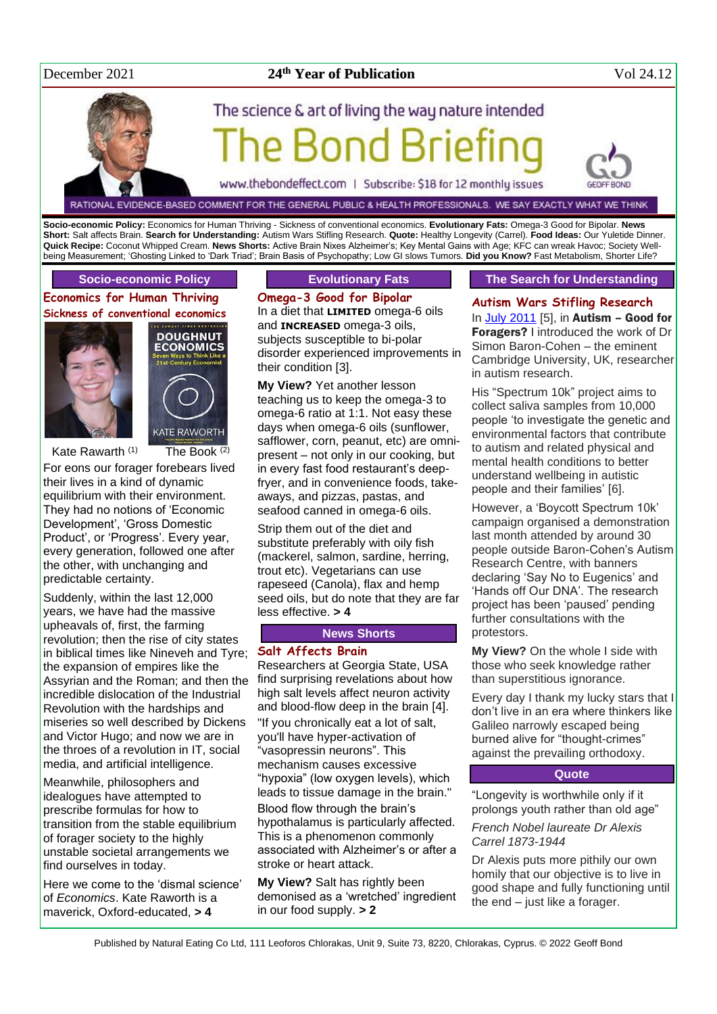# December 2021

# **th Year of Publication** Vol 24.12

# The science & art of living the way nature intended Bond Brie

www.thebondeffect.com | Subscribe: \$18 for 12 monthly issues

RATIONAL EVIDENCE-BASED COMMENT FOR THE GENERAL PUBLIC & HEALTH PROFESSIONALS. WE SAY EXACTLY WHAT WE THINK

**Socio-economic Policy:** Economics for Human Thriving - Sickness of conventional economics. **Evolutionary Fats:** Omega-3 Good for Bipolar. **News Short:** Salt affects Brain. **Search for Understanding:** Autism Wars Stifling Research. **Quote:** Healthy Longevity (Carrel). **Food Ideas:** Our Yuletide Dinner. **Quick Recipe:** Coconut Whipped Cream. **News Shorts:** Active Brain Nixes Alzheimer's; Key Mental Gains with Age; KFC can wreak Havoc; Society Wellbeing Measurement; 'Ghosting Linked to 'Dark Triad'; Brain Basis of Psychopathy; Low GI slows Tumors. **Did you Know?** Fast Metabolism, Shorter Life?

#### **Socio-economic Policy**

**Economics for Human Thriving Sickness of conventional economics**



**DOUGHNUT ECONOMICS KATE RAWORTH** 

Kate Rawarth  $(1)$  The Book  $(2)$ 

For eons our forager forebears lived their lives in a kind of dynamic equilibrium with their environment. They had no notions of 'Economic Development', 'Gross Domestic

Product', or 'Progress'. Every year, every generation, followed one after the other, with unchanging and predictable certainty.

Suddenly, within the last 12,000 years, we have had the massive upheavals of, first, the farming revolution; then the rise of city states in biblical times like Nineveh and Tyre; the expansion of empires like the Assyrian and the Roman; and then the incredible dislocation of the Industrial Revolution with the hardships and miseries so well described by Dickens and Victor Hugo; and now we are in the throes of a revolution in IT, social media, and artificial intelligence.

Meanwhile, philosophers and idealogues have attempted to prescribe formulas for how to transition from the stable equilibrium of forager society to the highly unstable societal arrangements we find ourselves in today.

Here we come to the 'dismal science' of *Economics*. Kate Raworth is a maverick, Oxford-educated, **> 4**

#### **Evolutionary Fats**

**Omega-3 Good for Bipolar** In a diet that **LIMITED** omega-6 oils and **INCREASED** omega-3 oils, subjects susceptible to bi-polar disorder experienced improvements in their condition [3].

**My View?** Yet another lesson teaching us to keep the omega-3 to omega-6 ratio at 1:1. Not easy these days when omega-6 oils (sunflower, safflower, corn, peanut, etc) are omnipresent – not only in our cooking, but in every fast food restaurant's deepfryer, and in convenience foods, takeaways, and pizzas, pastas, and seafood canned in omega-6 oils.

Strip them out of the diet and substitute preferably with oily fish (mackerel, salmon, sardine, herring, trout etc). Vegetarians can use rapeseed (Canola), flax and hemp seed oils, but do note that they are far less effective. **> 4**

#### **News Shorts**

#### **Salt Affects Brain**

Researchers at Georgia State, USA find surprising revelations about how high salt levels affect neuron activity and blood-flow deep in the brain [4]. "If you chronically eat a lot of salt, you'll have hyper-activation of "vasopressin neurons". This mechanism causes excessive "hypoxia" (low oxygen levels), which leads to tissue damage in the brain." Blood flow through the brain's hypothalamus is particularly affected. This is a phenomenon commonly associated with Alzheimer's or after a stroke or heart attack.

**My View?** Salt has rightly been demonised as a 'wretched' ingredient in our food supply. **> 2**

#### **The Search for Understanding**

**Autism Wars Stifling Research** In [July 2011](http://www.naturaleater.com/newsletter-archive/NEWS-2011/NEWS-2011-07.pdf) [5], in Autism – Good for Foragers? I introduced the work of Dr Simon Baron-Cohen – the eminent Cambridge University, UK, researcher in autism research.

His "Spectrum 10k" project aims to collect saliva samples from 10,000 people 'to investigate the genetic and environmental factors that contribute to autism and related physical and mental health conditions to better understand wellbeing in autistic people and their families' [6].

However, a 'Boycott Spectrum 10k' campaign organised a demonstration last month attended by around 30 people outside Baron-Cohen's Autism Research Centre, with banners declaring 'Say No to Eugenics' and 'Hands off Our DNA'. The research project has been 'paused' pending further consultations with the protestors.

**My View?** On the whole I side with those who seek knowledge rather than superstitious ignorance.

Every day I thank my lucky stars that I don't live in an era where thinkers like Galileo narrowly escaped being burned alive for "thought-crimes" against the prevailing orthodoxy.

#### **Quote**

"Longevity is worthwhile only if it prolongs youth rather than old age"

*French Nobel laureate Dr Alexis Carrel 1873-1944*

Dr Alexis puts more pithily our own homily that our objective is to live in good shape and fully functioning until the end – just like a forager.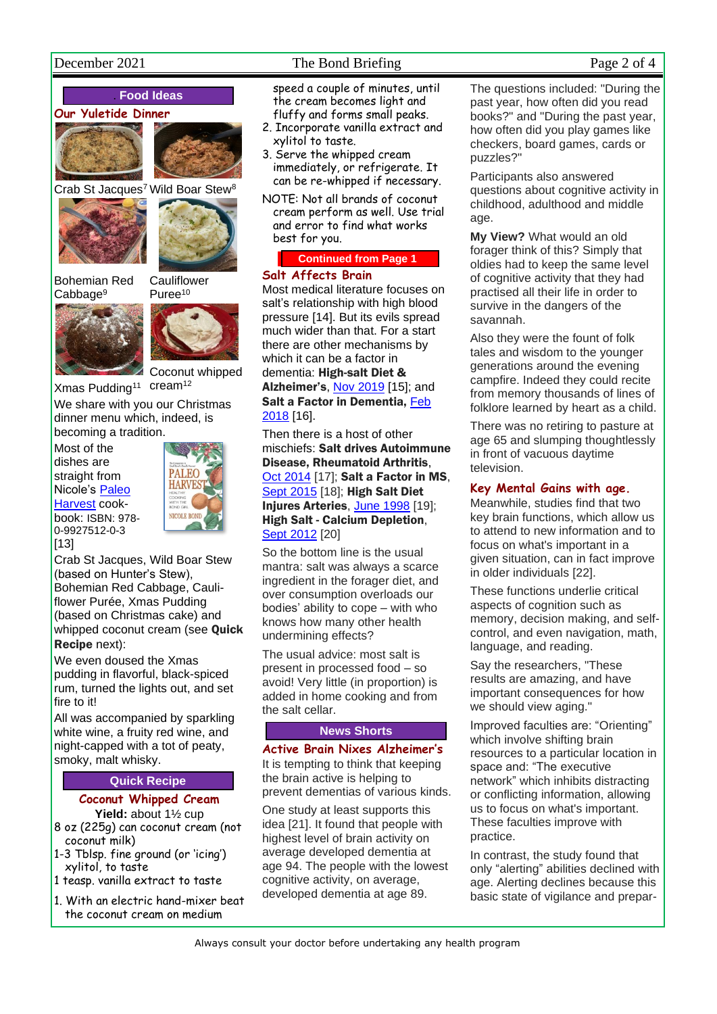# December 2021 The Bond Briefing Page 2 of 4

# . **Food Ideas**





Crab St Jacques<sup>7</sup> Wild Boar Stew<sup>8</sup>





Bohemian Red



Cabbage<sup>9</sup>



Coconut whipped

Xmas Pudding<sup>11</sup> cream<sup>12</sup>

We share with you our Christmas dinner menu which, indeed, is becoming a tradition.

Most of the dishes are straight from Nicole's [Paleo](http://www.paleo-harvest.com/)  [Harvest](http://www.paleo-harvest.com/) cookbook: ISBN: 978- 0-9927512-0-3 [13]



Crab St Jacques, Wild Boar Stew (based on Hunter's Stew), Bohemian Red Cabbage, Cauliflower Purée, Xmas Pudding (based on Christmas cake) and whipped coconut cream (see Quick Recipe next):

We even doused the Xmas pudding in flavorful, black-spiced rum, turned the lights out, and set fire to it!

All was accompanied by sparkling white wine, a fruity red wine, and night-capped with a tot of peaty, smoky, malt whisky.

# **Quick Recipe**

### **Coconut Whipped Cream Yield:** about 1½ cup

- 8 oz (225g) can coconut cream (not coconut milk)
- 1-3 Tblsp. fine ground (or 'icing') xylitol, to taste
- 1 teasp. vanilla extract to taste
- 1. With an electric hand-mixer beat the coconut cream on medium

speed a couple of minutes, until the cream becomes light and fluffy and forms small peaks.

- 2. Incorporate vanilla extract and xylitol to taste.
- 3. Serve the whipped cream immediately, or refrigerate. It can be re-whipped if necessary.
- NOTE: Not all brands of coconut cream perform as well. Use trial and error to find what works best for you.

# **Continued from Page 1**

### **Salt Affects Brain**

Most medical literature focuses on salt's relationship with high blood pressure [14]. But its evils spread much wider than that. For a start there are other mechanisms by which it can be a factor in dementia: High-salt Diet & Alzheimer's[, Nov 2019](http://www.naturaleater.com/NEWSLETTER-ARCHIVE/NEWS-2019/news-2019-11.pdf) [15]; and Salt a Factor in Dementia, [Feb](http://www.naturaleater.com/newsletter-archive/NEWS-2018/NEWS-2018-02.pdf)  [2018](http://www.naturaleater.com/newsletter-archive/NEWS-2018/NEWS-2018-02.pdf) [16].

Then there is a host of other mischiefs: Salt drives Autoimmune Disease, Rheumatoid Arthritis, [Oct 2014](http://www.naturaleater.com/newsletter-archive/NEWS-2014/NEWS-2014-10.pdf) [17]; Salt a Factor in MS. [Sept 2015](http://www.naturaleater.com/newsletter-archive/NEWS-2015/NEWS-2015-09.pdf) [18]; High Salt Diet Injures Arteries, [June 1998](http://www.naturaleater.com/newsletter-archive/NEWS-1998/NEWS-1998-06.pdf) [19]; High Salt - Calcium Depletion, [Sept 2012](http://bit.ly/1LK0yVl) [20]

So the bottom line is the usual mantra: salt was always a scarce ingredient in the forager diet, and over consumption overloads our bodies' ability to cope – with who knows how many other health undermining effects?

The usual advice: most salt is present in processed food – so avoid! Very little (in proportion) is added in home cooking and from the salt cellar.

# **News Shorts**

**Active Brain Nixes Alzheimer's** It is tempting to think that keeping the brain active is helping to prevent dementias of various kinds.

One study at least supports this idea [21]. It found that people with highest level of brain activity on average developed dementia at age 94. The people with the lowest cognitive activity, on average, developed dementia at age 89.

The questions included: "During the past year, how often did you read books?" and "During the past year, how often did you play games like checkers, board games, cards or puzzles?"

Participants also answered questions about cognitive activity in childhood, adulthood and middle age.

**My View?** What would an old forager think of this? Simply that oldies had to keep the same level of cognitive activity that they had practised all their life in order to survive in the dangers of the savannah.

Also they were the fount of folk tales and wisdom to the younger generations around the evening campfire. Indeed they could recite from memory thousands of lines of folklore learned by heart as a child.

There was no retiring to pasture at age 65 and slumping thoughtlessly in front of vacuous daytime television.

# **Key Mental Gains with age.**

Meanwhile, studies find that two key brain functions, which allow us to attend to new information and to focus on what's important in a given situation, can in fact improve in older individuals [22].

These functions underlie critical aspects of cognition such as memory, decision making, and selfcontrol, and even navigation, math, language, and reading.

Say the researchers, "These results are amazing, and have important consequences for how we should view aging."

Improved faculties are: "Orienting" which involve shifting brain resources to a particular location in space and: "The executive network" which inhibits distracting or conflicting information, allowing us to focus on what's important. These faculties improve with practice.

In contrast, the study found that only "alerting" abilities declined with age. Alerting declines because this basic state of vigilance and prepar-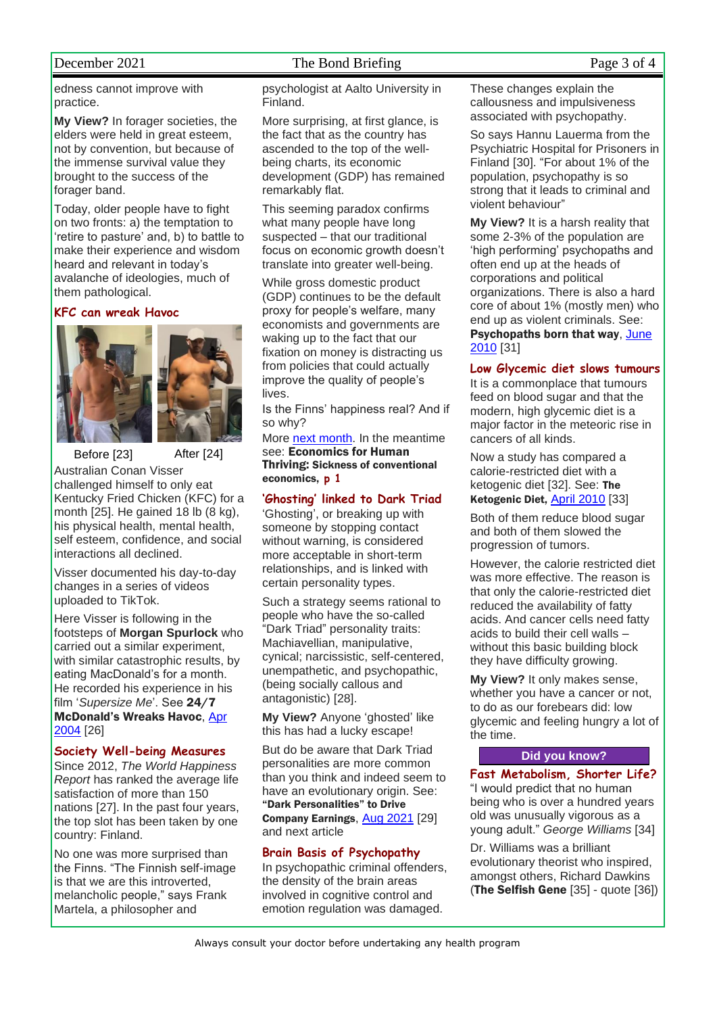# December 2021 The Bond Briefing Page 3 of 4

edness cannot improve with practice.

**My View?** In forager societies, the elders were held in great esteem, not by convention, but because of the immense survival value they brought to the success of the forager band.

Today, older people have to fight on two fronts: a) the temptation to 'retire to pasture' and, b) to battle to make their experience and wisdom heard and relevant in today's avalanche of ideologies, much of them pathological.

**KFC can wreak Havoc**





Before [23] After [24] Australian Conan Visser challenged himself to only eat Kentucky Fried Chicken (KFC) for a month [25]. He gained 18 lb (8 kg), his physical health, mental health, self esteem, confidence, and social interactions all declined.

Visser documented his day-to-day changes in a series of videos uploaded to TikTok.

Here Visser is following in the footsteps of **Morgan Spurlock** who carried out a similar experiment, with similar catastrophic results, by eating MacDonald's for a month. He recorded his experience in his film '*Supersize Me*'. See 24/7 McDonald's Wreaks Havoc, [Apr](http://www.naturaleater.com/newsletter-archive/news-2004/news-2004-04.pdf)  [2004](http://www.naturaleater.com/newsletter-archive/news-2004/news-2004-04.pdf) [26]

#### **Society Well-being Measures**

Since 2012, *The World Happiness Report* has ranked the average life satisfaction of more than 150 nations [27]. In the past four years, the top slot has been taken by one country: [Finland.](https://www.newscientist.com/article/2294381-how-finland-plans-to-create-a-circular-bioeconomy-that-runs-on-wood/)

No one was more surprised than the Finns. "The Finnish self-image is that we are this introverted, melancholic people," says [Frank](https://frankmartela.com/)  [Martela,](https://frankmartela.com/) a philosopher and

psychologist at Aalto University in Finland.

More surprising, at first glance, is the fact that as the country has ascended to the top of the wellbeing charts, its economic development (GDP) has remained remarkably flat.

This seeming paradox confirms what many people have long suspected – that our traditional focus on economic growth doesn't translate into greater well-being.

While gross domestic product (GDP) continues to be the default proxy for people's welfare, many economists and governments are waking up to the fact that our fixation on money is distracting us from policies that could actually improve the quality of people's lives.

Is the Finns' happiness real? And if so why?

More [next month.](http://www.naturaleater.com/newsletter-archive/NEWS-2022/NEWS-2022-01.pdf) In the meantime see: Economics for Human Thriving: Sickness of conventional economics, **p 1**

# **'Ghosting' linked to Dark Triad**

'Ghosting', or breaking up with someone by stopping contact without warning, is considered more acceptable in short-term relationships, and is linked with certain [personality types.](https://www.newscientist.com/article/2209360-worlds-top-personality-test-doesnt-really-work-should-we-ditch-it/)

Such a strategy seems rational to people who have the so-called "Dark Triad" [personality](https://www.newscientist.com/article/mg23431220-400-mercurial-you-your-lifelong-personality-change/) traits: [Machiavellian,](https://www.newscientist.com/article/dn27691-sixth-personality-trait-measures-your-machiavellian-potential/) manipulative, cynical; [narcissist](https://www.newscientist.com/article/mg23130810-200-all-about-me-how-to-be-a-successful-narcissist/)ic, self-centered, unempathetic, and [psychopathi](https://www.newscientist.com/article/2163466-psychopaths-pay-less-attention-to-what-other-people-are-thinking/)c, (being socially callous and antagonistic) [28].

**My View?** Anyone 'ghosted' like this has had a lucky escape!

But do be aware that Dark Triad personalities are more common than you think and indeed seem to have an evolutionary origin. See: "Dark Personalities" to Drive Company Earnings, [Aug 2021](http://www.naturaleater.com/newsletter-archive/NEWS-2021/NEWS-2021-08.pdf) [29] and next article

# **Brain Basis of Psychopathy**

In psychopathic criminal offenders, the density of the brain areas involved in cognitive control and emotion regulation was damaged.

These changes explain the callousness and impulsiveness associated with psychopathy.

So says Hannu Lauerma from the Psychiatric Hospital for Prisoners in Finland [30]. "For about 1% of the population, psychopathy is so strong that it leads to criminal and violent behaviour"

**My View?** It is a harsh reality that some 2-3% of the population are 'high performing' psychopaths and often end up at the heads of corporations and political organizations. There is also a hard core of about 1% (mostly men) who end up as violent criminals. See: Psychopaths born that way, [June](http://www.naturaleater.com/newsletter-archive/news-2010/news-2010-06.pdf)  [2010](http://www.naturaleater.com/newsletter-archive/news-2010/news-2010-06.pdf) [31]

# **Low Glycemic diet slows tumours**

It is a commonplace that tumours feed on blood sugar and that the modern, high glycemic diet is a major factor in the meteoric rise in cancers of all kinds.

Now a study has compared a calorie-restricted diet with a ketogenic diet [32]. See: The Ketogenic Diet, [April 2010](http://www.naturaleater.com/newsletter-archive/NEWS-2010/NEWS-2010-04.pdf) [33]

Both of them reduce blood sugar and both of them slowed the progression of tumors.

However, the calorie restricted diet was more effective. The reason is that only the calorie-restricted diet reduced the availability of fatty acids. And cancer cells need fatty acids to build their cell walls – without this basic building block they have difficulty growing.

**My View?** It only makes sense, whether you have a cancer or not. to do as our forebears did: low glycemic and feeling hungry a lot of the time.

## **Did you know?**

**Fast Metabolism, Shorter Life?** "I would predict that no human being who is over a hundred years old was unusually vigorous as a young adult." *George Williams* [34]

Dr. Williams was a brilliant evolutionary theorist who inspired, amongst others, Richard Dawkins (The Selfish Gene [35] - quote [36])